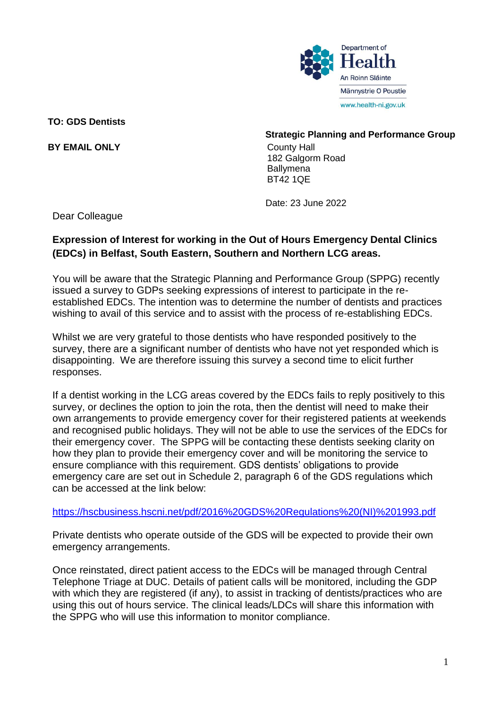

**TO: GDS Dentists**

**BY EMAIL ONLY**

## **Strategic Planning and Performance Group**

County Hall 182 Galgorm Road **Ballymena** BT42 1QE

Date: 23 June 2022

Dear Colleague

## **Expression of Interest for working in the Out of Hours Emergency Dental Clinics (EDCs) in Belfast, South Eastern, Southern and Northern LCG areas.**

You will be aware that the Strategic Planning and Performance Group (SPPG) recently issued a survey to GDPs seeking expressions of interest to participate in the reestablished EDCs. The intention was to determine the number of dentists and practices wishing to avail of this service and to assist with the process of re-establishing EDCs.

Whilst we are very grateful to those dentists who have responded positively to the survey, there are a significant number of dentists who have not yet responded which is disappointing. We are therefore issuing this survey a second time to elicit further responses.

If a dentist working in the LCG areas covered by the EDCs fails to reply positively to this survey, or declines the option to join the rota, then the dentist will need to make their own arrangements to provide emergency cover for their registered patients at weekends and recognised public holidays. They will not be able to use the services of the EDCs for their emergency cover. The SPPG will be contacting these dentists seeking clarity on how they plan to provide their emergency cover and will be monitoring the service to ensure compliance with this requirement. GDS dentists' obligations to provide emergency care are set out in Schedule 2, paragraph 6 of the GDS regulations which can be accessed at the link below:

[https://hscbusiness.hscni.net/pdf/2016%20GDS%20Regulations%20\(NI\)%201993.pdf](https://hscbusiness.hscni.net/pdf/2016%20GDS%20Regulations%20(NI)%201993.pdf)

Private dentists who operate outside of the GDS will be expected to provide their own emergency arrangements.

Once reinstated, direct patient access to the EDCs will be managed through Central Telephone Triage at DUC. Details of patient calls will be monitored, including the GDP with which they are registered (if any), to assist in tracking of dentists/practices who are using this out of hours service. The clinical leads/LDCs will share this information with the SPPG who will use this information to monitor compliance.